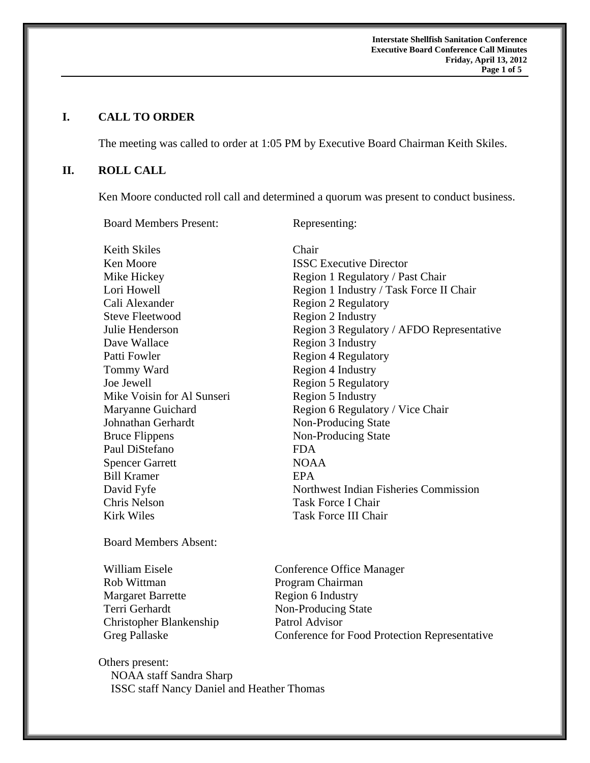**Interstate Shellfish Sanitation Conference Executive Board Conference Call Minutes Friday, April 13, 2012 Page 1 of 5** 

# **I. CALL TO ORDER**

The meeting was called to order at 1:05 PM by Executive Board Chairman Keith Skiles.

## **II. ROLL CALL**

Ken Moore conducted roll call and determined a quorum was present to conduct business.

Board Members Present: Representing: Keith Skiles Chair Ken Moore **ISSC Executive Director** Mike Hickey Region 1 Regulatory / Past Chair Lori Howell Region 1 Industry / Task Force II Chair Cali Alexander Region 2 Regulatory Steve Fleetwood Region 2 Industry Julie Henderson Region 3 Regulatory / AFDO Representative Dave Wallace Region 3 Industry Patti Fowler Region 4 Regulatory Tommy Ward Region 4 Industry Joe Jewell Region 5 Regulatory Mike Voisin for Al Sunseri Region 5 Industry Maryanne Guichard Region 6 Regulatory / Vice Chair Johnathan Gerhardt Non-Producing State Bruce Flippens Non-Producing State Paul DiStefano FDA Spencer Garrett NOAA Bill Kramer **EPA** David Fyfe Northwest Indian Fisheries Commission Chris Nelson Task Force I Chair Kirk Wiles Task Force III Chair

Board Members Absent:

William Eisele **Conference Office Manager** Rob Wittman Program Chairman Margaret Barrette Region 6 Industry Terri Gerhardt Non-Producing State Christopher Blankenship Patrol Advisor

Greg Pallaske Conference for Food Protection Representative

Others present: NOAA staff Sandra Sharp ISSC staff Nancy Daniel and Heather Thomas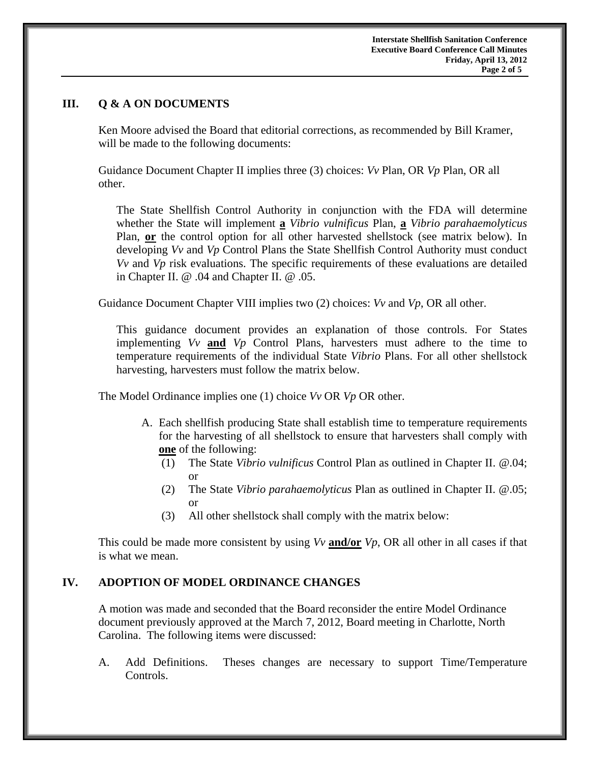### **III. Q & A ON DOCUMENTS**

 Ken Moore advised the Board that editorial corrections, as recommended by Bill Kramer, will be made to the following documents:

Guidance Document Chapter II implies three (3) choices: *Vv* Plan, OR *Vp* Plan, OR all other.

The State Shellfish Control Authority in conjunction with the FDA will determine whether the State will implement **a** *Vibrio vulnificus* Plan, **a** *Vibrio parahaemolyticus*  Plan, **or** the control option for all other harvested shellstock (see matrix below). In developing *Vv* and *Vp* Control Plans the State Shellfish Control Authority must conduct *Vv* and *Vp* risk evaluations. The specific requirements of these evaluations are detailed in Chapter II. @ .04 and Chapter II. @ .05.

Guidance Document Chapter VIII implies two (2) choices: *Vv* and *Vp*, OR all other.

This guidance document provides an explanation of those controls. For States implementing *Vv* **and** *Vp* Control Plans, harvesters must adhere to the time to temperature requirements of the individual State *Vibrio* Plans. For all other shellstock harvesting, harvesters must follow the matrix below.

The Model Ordinance implies one (1) choice *Vv* OR *Vp* OR other.

- A. Each shellfish producing State shall establish time to temperature requirements for the harvesting of all shellstock to ensure that harvesters shall comply with **one** of the following:
	- (1) The State *Vibrio vulnificus* Control Plan as outlined in Chapter II. @.04; or
	- (2) The State *Vibrio parahaemolyticus* Plan as outlined in Chapter II. @.05; or
	- (3) All other shellstock shall comply with the matrix below:

This could be made more consistent by using *Vv* **and/or** *Vp*, OR all other in all cases if that is what we mean.

#### **IV. ADOPTION OF MODEL ORDINANCE CHANGES**

A motion was made and seconded that the Board reconsider the entire Model Ordinance document previously approved at the March 7, 2012, Board meeting in Charlotte, North Carolina. The following items were discussed:

A. Add Definitions. Theses changes are necessary to support Time/Temperature Controls.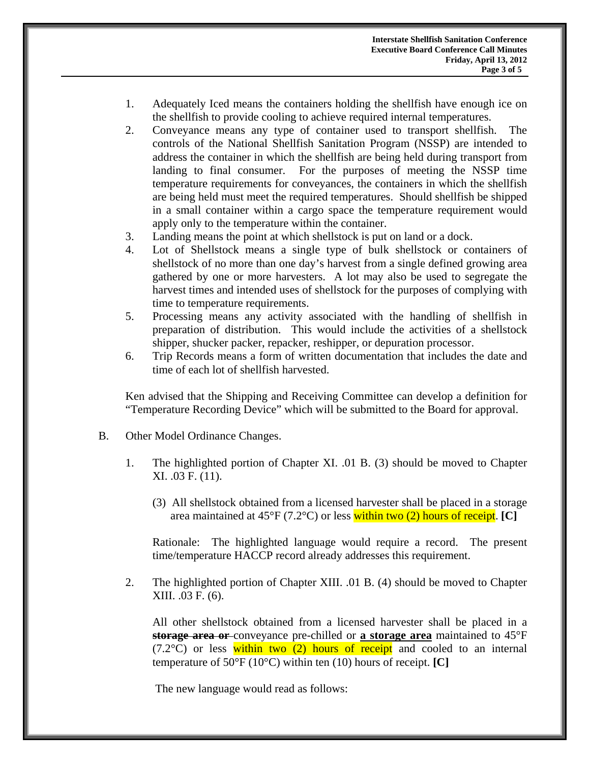- 1. Adequately Iced means the containers holding the shellfish have enough ice on the shellfish to provide cooling to achieve required internal temperatures.
- 2. Conveyance means any type of container used to transport shellfish. The controls of the National Shellfish Sanitation Program (NSSP) are intended to address the container in which the shellfish are being held during transport from landing to final consumer. For the purposes of meeting the NSSP time temperature requirements for conveyances, the containers in which the shellfish are being held must meet the required temperatures. Should shellfish be shipped in a small container within a cargo space the temperature requirement would apply only to the temperature within the container.
- 3. Landing means the point at which shellstock is put on land or a dock.
- 4. Lot of Shellstock means a single type of bulk shellstock or containers of shellstock of no more than one day's harvest from a single defined growing area gathered by one or more harvesters. A lot may also be used to segregate the harvest times and intended uses of shellstock for the purposes of complying with time to temperature requirements.
- 5. Processing means any activity associated with the handling of shellfish in preparation of distribution. This would include the activities of a shellstock shipper, shucker packer, repacker, reshipper, or depuration processor.
- 6. Trip Records means a form of written documentation that includes the date and time of each lot of shellfish harvested.

Ken advised that the Shipping and Receiving Committee can develop a definition for "Temperature Recording Device" which will be submitted to the Board for approval.

- B. Other Model Ordinance Changes.
	- 1. The highlighted portion of Chapter XI. .01 B. (3) should be moved to Chapter XI. .03 F. (11).
		- (3) All shellstock obtained from a licensed harvester shall be placed in a storage area maintained at 45°F (7.2°C) or less within two (2) hours of receipt. **[C]**

Rationale: The highlighted language would require a record. The present time/temperature HACCP record already addresses this requirement.

2. The highlighted portion of Chapter XIII. .01 B. (4) should be moved to Chapter XIII. .03 F. (6).

All other shellstock obtained from a licensed harvester shall be placed in a **storage area or** conveyance pre-chilled or **a storage area** maintained to 45°F  $(7.2^{\circ}$ C) or less within two (2) hours of receipt and cooled to an internal temperature of 50°F (10°C) within ten (10) hours of receipt. **[C]**

The new language would read as follows: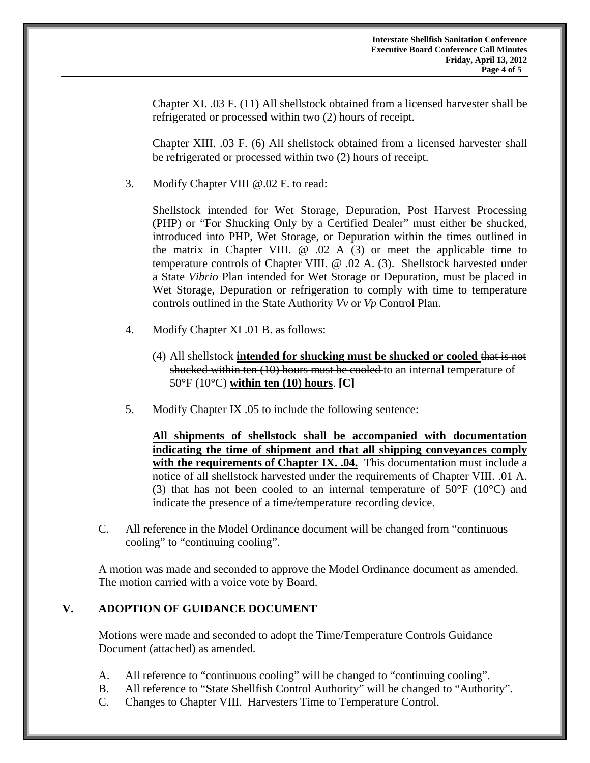Chapter XI. .03 F. (11) All shellstock obtained from a licensed harvester shall be refrigerated or processed within two (2) hours of receipt.

Chapter XIII. .03 F. (6) All shellstock obtained from a licensed harvester shall be refrigerated or processed within two (2) hours of receipt.

3. Modify Chapter VIII @.02 F. to read:

 Shellstock intended for Wet Storage, Depuration, Post Harvest Processing (PHP) or "For Shucking Only by a Certified Dealer" must either be shucked, introduced into PHP, Wet Storage, or Depuration within the times outlined in the matrix in Chapter VIII.  $\omega$  .02 A (3) or meet the applicable time to temperature controls of Chapter VIII. @ .02 A. (3). Shellstock harvested under a State *Vibrio* Plan intended for Wet Storage or Depuration, must be placed in Wet Storage, Depuration or refrigeration to comply with time to temperature controls outlined in the State Authority *Vv* or *Vp* Control Plan.

- 4. Modify Chapter XI .01 B. as follows:
	- (4) All shellstock **intended for shucking must be shucked or cooled** that is not shucked within ten (10) hours must be cooled to an internal temperature of 50°F (10°C) **within ten (10) hours**. **[C]**
- 5. Modify Chapter IX .05 to include the following sentence:

**All shipments of shellstock shall be accompanied with documentation indicating the time of shipment and that all shipping conveyances comply**  with the requirements of Chapter IX. .04. This documentation must include a notice of all shellstock harvested under the requirements of Chapter VIII. .01 A. (3) that has not been cooled to an internal temperature of  $50^{\circ}$ F (10 $^{\circ}$ C) and indicate the presence of a time/temperature recording device.

C. All reference in the Model Ordinance document will be changed from "continuous cooling" to "continuing cooling".

A motion was made and seconded to approve the Model Ordinance document as amended. The motion carried with a voice vote by Board.

## **V. ADOPTION OF GUIDANCE DOCUMENT**

Motions were made and seconded to adopt the Time/Temperature Controls Guidance Document (attached) as amended.

- A. All reference to "continuous cooling" will be changed to "continuing cooling".
- B. All reference to "State Shellfish Control Authority" will be changed to "Authority".
- C. Changes to Chapter VIII. Harvesters Time to Temperature Control.